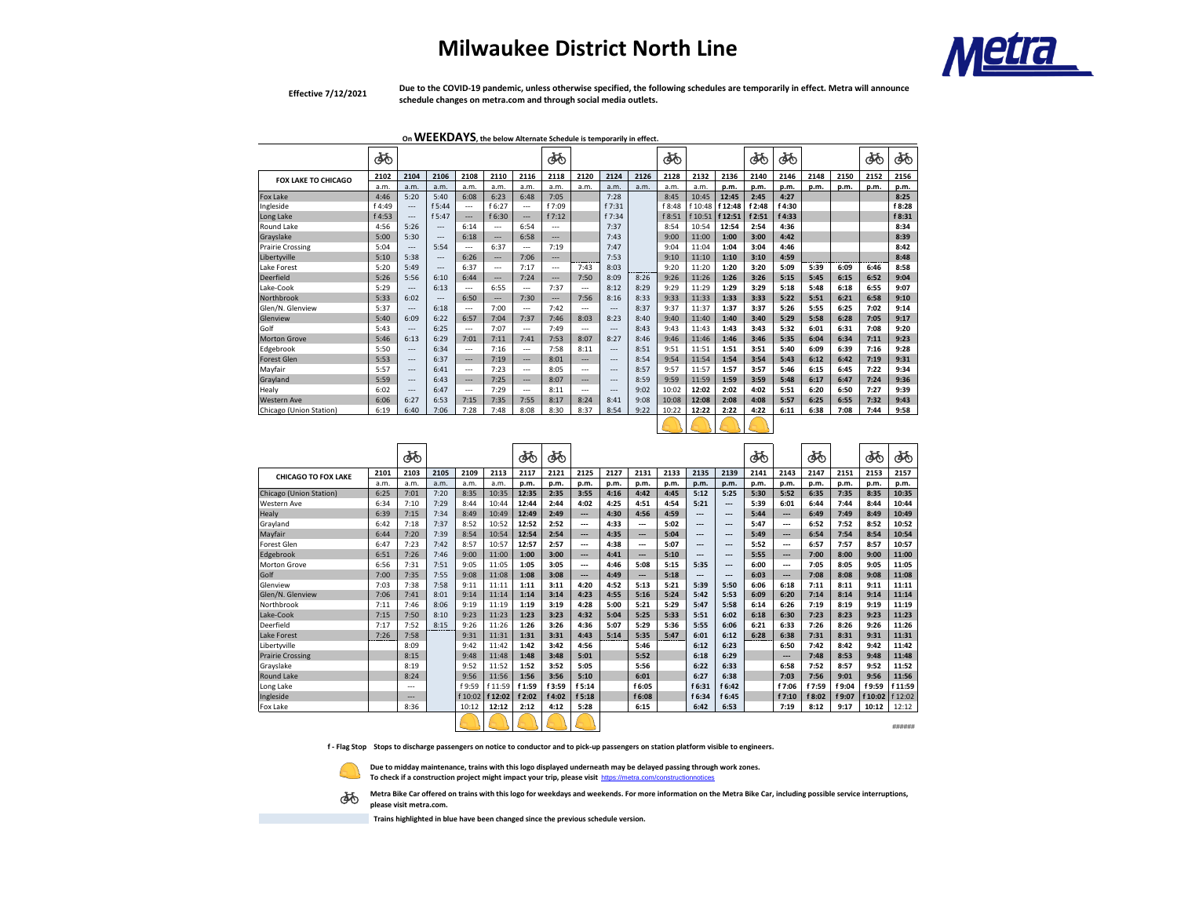## **Milwaukee District North Line**



**Effective 7/12/2021**

**Due to the COVID-19 pandemic, unless otherwise specified, the following schedules are temporarily in effect. Metra will announce schedule changes on metra.com and through social media outlets.**

**On WEEKDAYS, the below Alternate Schedule is temporarily in effect.** 

|                            | ණි     |       |          |        |          |                | ക്ക                      |                          |                |      | ൎൟ     |         |         | ණ      | ණි     |      |      | අත   | ණ      |
|----------------------------|--------|-------|----------|--------|----------|----------------|--------------------------|--------------------------|----------------|------|--------|---------|---------|--------|--------|------|------|------|--------|
| <b>FOX LAKE TO CHICAGO</b> | 2102   | 2104  | 2106     | 2108   | 2110     | 2116           | 2118                     | 2120                     | 2124           | 2126 | 2128   | 2132    | 2136    | 2140   | 2146   | 2148 | 2150 | 2152 | 2156   |
|                            | a.m.   | a.m.  | a.m.     | a.m.   | a.m.     | a.m.           | a.m.                     | a.m.                     | a.m.           | a.m. | a.m.   | a.m.    | p.m.    | p.m.   | p.m.   | p.m. | p.m. | p.m. | p.m.   |
| Fox Lake                   | 4:46   | 5:20  | 5:40     | 6:08   | 6:23     | 6:48           | 7:05                     |                          | 7:28           |      | 8:45   | 10:45   | 12:45   | 2:45   | 4:27   |      |      |      | 8:25   |
| Ingleside                  | f 4:49 | $---$ | f 5:44   | $---$  | f 6:27   | $\overline{a}$ | f 7:09                   |                          | f 7:31         |      | f 8:48 | f 10:48 | f 12:48 | f 2:48 | f 4:30 |      |      |      | f 8:28 |
| Long Lake                  | f 4:53 | $---$ | f 5:47   | $---$  | f 6:30   | $---$          | f 7:12                   |                          | f 7:34         |      | f 8:51 | f 10:51 | f 12:51 | f 2:51 | f 4:33 |      |      |      | f 8:31 |
| Round Lake                 | 4:56   | 5:26  | $\cdots$ | 6:14   | $- - -$  | 6:54           | $\overline{\phantom{a}}$ |                          | 7:37           |      | 8:54   | 10:54   | 12:54   | 2:54   | 4:36   |      |      |      | 8:34   |
| Gravslake                  | 5:00   | 5:30  | $\cdots$ | 6:18   | $\cdots$ | 6:58           | $\overline{\phantom{a}}$ |                          | 7:43           |      | 9:00   | 11:00   | 1:00    | 3:00   | 4:42   |      |      |      | 8:39   |
| Prairie Crossing           | 5:04   | $---$ | 5:54     | $---$  | 6:37     | $---$          | 7:19                     |                          | 7:47           |      | 9:04   | 11:04   | 1:04    | 3:04   | 4:46   |      |      |      | 8:42   |
| Libertyville               | 5:10   | 5:38  | $\cdots$ | 6:26   | $\cdots$ | 7:06           | $\cdots$                 |                          | 7:53           |      | 9:10   | 11:10   | 1:10    | 3:10   | 4:59   |      |      |      | 8:48   |
| Lake Forest                | 5:20   | 5:49  | $\cdots$ | 6:37   | $\sim$   | 7:17           | $\overline{a}$           | 7:43                     | 8:03           |      | 9:20   | 11:20   | 1:20    | 3:20   | 5:09   | 5:39 | 6:09 | 6:46 | 8:58   |
| Deerfield                  | 5:26   | 5:56  | 6:10     | 6:44   | $---$    | 7:24           | $\cdots$                 | 7:50                     | 8:09           | 8:26 | 9:26   | 11:26   | 1:26    | 3:26   | 5:15   | 5:45 | 6:15 | 6:52 | 9:04   |
| Lake-Cook                  | 5:29   | $---$ | 6:13     | $---$  | 6:55     | $---$          | 7:37                     | $\overline{a}$           | 8:12           | 8:29 | 9:29   | 11:29   | 1:29    | 3:29   | 5:18   | 5:48 | 6:18 | 6:55 | 9:07   |
| Northbrook                 | 5:33   | 6:02  | $\cdots$ | 6:50   | $---$    | 7:30           | $\overline{\phantom{a}}$ | 7:56                     | 8:16           | 8:33 | 9:33   | 11:33   | 1:33    | 3:33   | 5:22   | 5:51 | 6:21 | 6:58 | 9:10   |
| Glen/N. Glenview           | 5:37   | $---$ | 6:18     | $\sim$ | 7:00     | $\overline{a}$ | 7:42                     | $\overline{a}$           | ---            | 8:37 | 9:37   | 11:37   | 1:37    | 3:37   | 5:26   | 5:55 | 6:25 | 7:02 | 9:14   |
| Glenview                   | 5:40   | 6:09  | 6:22     | 6:57   | 7:04     | 7:37           | 7:46                     | 8:03                     | 8:23           | 8:40 | 9:40   | 11:40   | 1:40    | 3:40   | 5:29   | 5:58 | 6:28 | 7:05 | 9:17   |
| Golf                       | 5:43   | $---$ | 6:25     | $---$  | 7:07     | $---$          | 7:49                     | $\overline{\phantom{a}}$ | $---$          | 8:43 | 9:43   | 11:43   | 1:43    | 3:43   | 5:32   | 6:01 | 6:31 | 7:08 | 9:20   |
| <b>Morton Grove</b>        | 5:46   | 6:13  | 6:29     | 7:01   | 7:11     | 7:41           | 7:53                     | 8:07                     | 8:27           | 8:46 | 9:46   | 11:46   | 1:46    | 3:46   | 5:35   | 6:04 | 6:34 | 7:11 | 9:23   |
| Edgebrook                  | 5:50   | $---$ | 6:34     | $\sim$ | 7:16     | $\overline{a}$ | 7:58                     | 8:11                     | ---            | 8:51 | 9:51   | 11:51   | 1:51    | 3:51   | 5:40   | 6:09 | 6:39 | 7:16 | 9:28   |
| <b>Forest Glen</b>         | 5:53   | $---$ | 6:37     | $---$  | 7:19     | $---$          | 8:01                     | $\overline{\phantom{a}}$ | $---$          | 8:54 | 9:54   | 11:54   | 1:54    | 3:54   | 5:43   | 6:12 | 6:42 | 7:19 | 9:31   |
| Mavfair                    | 5:57   | $---$ | 6:41     | $---$  | 7:23     | $---$          | 8:05                     | $\overline{\phantom{a}}$ | $---$          | 8:57 | 9:57   | 11:57   | 1:57    | 3:57   | 5:46   | 6:15 | 6:45 | 7:22 | 9:34   |
| Grayland                   | 5:59   | $---$ | 6:43     | $-$    | 7:25     | $---$          | 8:07                     | $---$                    | $\overline{a}$ | 8:59 | 9:59   | 11:59   | 1:59    | 3:59   | 5:48   | 6:17 | 6:47 | 7:24 | 9:36   |
| Healy                      | 6:02   | $---$ | 6:47     | $---$  | 7:29     | $---$          | 8:11                     | $\overline{\phantom{a}}$ | $---$          | 9:02 | 10:02  | 12:02   | 2:02    | 4:02   | 5:51   | 6:20 | 6:50 | 7:27 | 9:39   |
| <b>Western Ave</b>         | 6:06   | 6:27  | 6:53     | 7:15   | 7:35     | 7:55           | 8:17                     | 8:24                     | 8:41           | 9:08 | 10:08  | 12:08   | 2:08    | 4:08   | 5:57   | 6:25 | 6:55 | 7:32 | 9:43   |
| Chicago (Union Station)    | 6:19   | 6:40  | 7:06     | 7:28   | 7:48     | 8:08           | 8:30                     | 8:37                     | 8:54           | 9:22 | 10:22  | 12:22   | 2:22    | 4:22   | 6:11   | 6:38 | 7:08 | 7:44 | 9:58   |
|                            |        |       |          |        |          |                |                          |                          |                |      |        |         |         |        |        |      |      |      |        |

|                            |      | ණ              |      |         |         | ෯      | ൎ൴     |        |      |                          |      |        |        | ക്ക  |        | ŎŎ     |        | ෯       | ෯       |
|----------------------------|------|----------------|------|---------|---------|--------|--------|--------|------|--------------------------|------|--------|--------|------|--------|--------|--------|---------|---------|
| <b>CHICAGO TO FOX LAKE</b> | 2101 | 2103           | 2105 | 2109    | 2113    | 2117   | 2121   | 2125   | 2127 | 2131                     | 2133 | 2135   | 2139   | 2141 | 2143   | 2147   | 2151   | 2153    | 2157    |
|                            | a.m. | a.m.           | a.m. | a.m.    | a.m.    | p.m.   | p.m.   | p.m.   | p.m. | p.m.                     | p.m. | p.m.   | p.m.   | p.m. | p.m.   | p.m.   | p.m.   | p.m.    | p.m.    |
| Chicago (Union Station)    | 6:25 | 7:01           | 7:20 | 8:35    | 10:35   | 12:35  | 2:35   | 3:55   | 4:16 | 4:42                     | 4:45 | 5:12   | 5:25   | 5:30 | 5:52   | 6:35   | 7:35   | 8:35    | 10:35   |
| Western Ave                | 6:34 | 7:10           | 7:29 | 8:44    | 10:44   | 12:44  | 2:44   | 4:02   | 4:25 | 4:51                     | 4:54 | 5:21   | ---    | 5:39 | 6:01   | 6:44   | 7:44   | 8:44    | 10:44   |
| Healy                      | 6:39 | 7:15           | 7:34 | 8:49    | 10:49   | 12:49  | 2:49   | ---    | 4:30 | 4:56                     | 4:59 | ---    | ---    | 5:44 | ---    | 6:49   | 7:49   | 8:49    | 10:49   |
| Grayland                   | 6:42 | 7:18           | 7:37 | 8:52    | 10:52   | 12:52  | 2:52   | ---    | 4:33 | $\cdots$                 | 5:02 | ---    | ---    | 5:47 | ---    | 6:52   | 7:52   | 8:52    | 10:52   |
| Mayfair                    | 6:44 | 7:20           | 7:39 | 8:54    | 10:54   | 12:54  | 2:54   | ---    | 4:35 | $--$                     | 5:04 | ---    | ---    | 5:49 | ---    | 6:54   | 7:54   | 8:54    | 10:54   |
| Forest Glen                | 6:47 | 7:23           | 7:42 | 8:57    | 10:57   | 12:57  | 2:57   | ---    | 4:38 | $\cdots$                 | 5:07 | ---    | ---    | 5:52 | ---    | 6:57   | 7:57   | 8:57    | 10:57   |
| Edgebrook                  | 6:51 | 7:26           | 7:46 | 9:00    | 11:00   | 1:00   | 3:00   | ---    | 4:41 | $\overline{\phantom{a}}$ | 5:10 | ---    | ---    | 5:55 | ---    | 7:00   | 8:00   | 9:00    | 11:00   |
| Morton Grove               | 6:56 | 7:31           | 7:51 | 9:05    | 11:05   | 1:05   | 3:05   | ---    | 4:46 | 5:08                     | 5:15 | 5:35   | ---    | 6:00 | ---    | 7:05   | 8:05   | 9:05    | 11:05   |
| Golf                       | 7:00 | 7:35           | 7:55 | 9:08    | 11:08   | 1:08   | 3:08   | ---    | 4:49 | $\overline{\phantom{a}}$ | 5:18 | ---    | ---    | 6:03 | ---    | 7:08   | 8:08   | 9:08    | 11:08   |
| Glenview                   | 7:03 | 7:38           | 7:58 | 9:11    | 11:11   | 1:11   | 3:11   | 4:20   | 4:52 | 5:13                     | 5:21 | 5:39   | 5:50   | 6:06 | 6:18   | 7:11   | 8:11   | 9:11    | 11:11   |
| Glen/N. Glenview           | 7:06 | 7:41           | 8:01 | 9:14    | 11:14   | 1:14   | 3:14   | 4:23   | 4:55 | 5:16                     | 5:24 | 5:42   | 5:53   | 6:09 | 6:20   | 7:14   | 8:14   | 9:14    | 11:14   |
| Northbrook                 | 7:11 | 7:46           | 8:06 | 9:19    | 11:19   | 1:19   | 3:19   | 4:28   | 5:00 | 5:21                     | 5:29 | 5:47   | 5:58   | 6:14 | 6:26   | 7:19   | 8:19   | 9:19    | 11:19   |
| Lake-Cook                  | 7:15 | 7:50           | 8:10 | 9:23    | 11:23   | 1:23   | 3:23   | 4:32   | 5:04 | 5:25                     | 5:33 | 5:51   | 6:02   | 6:18 | 6:30   | 7:23   | 8:23   | 9:23    | 11:23   |
| Deerfield                  | 7:17 | 7:52           | 8:15 | 9:26    | 11:26   | 1:26   | 3:26   | 4:36   | 5:07 | 5:29                     | 5:36 | 5:55   | 6:06   | 6:21 | 6:33   | 7:26   | 8:26   | 9:26    | 11:26   |
| Lake Forest                | 7:26 | 7:58           |      | 9:31    | 11:31   | 1:31   | 3:31   | 4:43   | 5:14 | 5:35                     | 5:47 | 6:01   | 6:12   | 6:28 | 6:38   | 7:31   | 8:31   | 9:31    | 11:31   |
| Libertyville               |      | 8:09           |      | 9:42    | 11:42   | 1:42   | 3:42   | 4:56   |      | 5:46                     |      | 6:12   | 6:23   |      | 6:50   | 7:42   | 8:42   | 9:42    | 11:42   |
| <b>Prairie Crossing</b>    |      | 8:15           |      | 9:48    | 11:48   | 1:48   | 3:48   | 5:01   |      | 5:52                     |      | 6:18   | 6:29   |      | ---    | 7:48   | 8:53   | 9:48    | 11:48   |
| Gravslake                  |      | 8:19           |      | 9:52    | 11:52   | 1:52   | 3:52   | 5:05   |      | 5:56                     |      | 6:22   | 6:33   |      | 6:58   | 7:52   | 8:57   | 9:52    | 11:52   |
| Round Lake                 |      | 8:24           |      | 9:56    | 11:56   | 1:56   | 3:56   | 5:10   |      | 6:01                     |      | 6:27   | 6:38   |      | 7:03   | 7:56   | 9:01   | 9:56    | 11:56   |
| Long Lake                  |      | $\overline{a}$ |      | f 9:59  | f 11:59 | f 1:59 | f 3:59 | f 5:14 |      | f 6:05                   |      | f 6:31 | f 6:42 |      | f 7:06 | f 7:59 | f 9:04 | f 9:59  | f 11:59 |
| Ingleside                  |      | ---            |      | f 10:02 | f 12:02 | f 2:02 | f 4:02 | f 5:18 |      | f 6:08                   |      | f 6:34 | f 6:45 |      | f 7:10 | f 8:02 | f 9:07 | f 10:02 | f 12:02 |
| Fox Lake                   |      | 8:36           |      | 10:12   | 12:12   | 2:12   | 4:12   | 5:28   |      | 6:15                     |      | 6:42   | 6:53   |      | 7:19   | 8:12   | 9:17   | 10:12   | 12:12   |
|                            |      |                |      |         |         |        |        |        |      |                          |      |        |        |      |        |        |        |         | ######  |

**f - Flag Stop Stops to discharge passengers on notice to conductor and to pick-up passengers on station platform visible to engineers.** 

**Due to midday maintenance, trains with this logo displayed underneath may be delayed passing through work zones.**  To check if a construction project might impact your trip, please visit **https://metra.com** 



**Metra Bike Car offered on trains with this logo for weekdays and weekends. For more information on the Metra Bike Car, including possible service interruptions,** 



 **Trains highlighted in blue have been changed since the previous schedule version.**